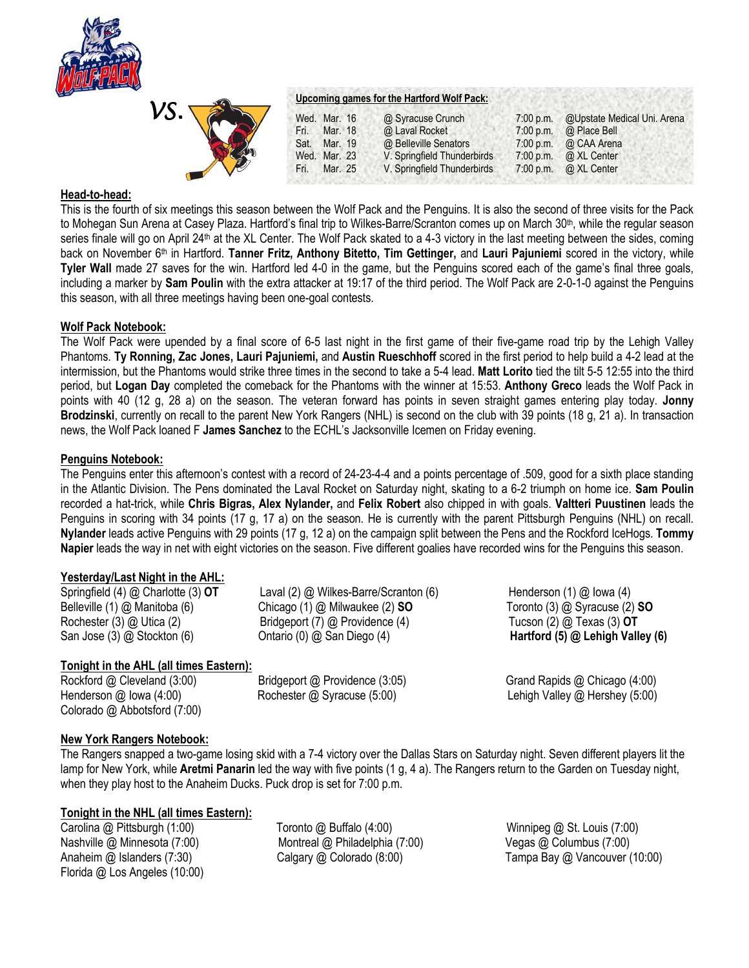

| VS. |  |
|-----|--|
|     |  |
|     |  |

#### **Upcoming games for the Hartford Wolf Pack:**

|        | @ Syracuse Crunch                                                       |             | 7:00 p.m. @Upstate Medical Uni. Arena |
|--------|-------------------------------------------------------------------------|-------------|---------------------------------------|
|        | @ Laval Rocket                                                          | $7:00$ p.m. | @ Place Bell                          |
|        | @ Belleville Senators                                                   |             | 7:00 p.m. $\omega$ CAA Arena          |
|        | V. Springfield Thunderbirds                                             |             | 7:00 p.m. $\omega$ XL Center          |
| Fri. I | V. Springfield Thunderbirds                                             |             | 7:00 p.m. $\omega$ XL Center          |
|        | Wed. Mar. 16<br>Fri. Mar. 18<br>Sat. Mar. 19<br>Wed. Mar. 23<br>Mar. 25 |             |                                       |

#### **Head-to-head:**

This is the fourth of six meetings this season between the Wolf Pack and the Penguins. It is also the second of three visits for the Pack to Mohegan Sun Arena at Casey Plaza. Hartford's final trip to Wilkes-Barre/Scranton comes up on March 30<sup>th</sup>, while the regular season series finale will go on April 24<sup>th</sup> at the XL Center. The Wolf Pack skated to a 4-3 victory in the last meeting between the sides, coming back on November 6th in Hartford. **Tanner Fritz, Anthony Bitetto, Tim Gettinger,** and **Lauri Pajuniemi** scored in the victory, while **Tyler Wall** made 27 saves for the win. Hartford led 4-0 in the game, but the Penguins scored each of the game's final three goals, including a marker by **Sam Poulin** with the extra attacker at 19:17 of the third period. The Wolf Pack are 2-0-1-0 against the Penguins this season, with all three meetings having been one-goal contests.

### **Wolf Pack Notebook:**

The Wolf Pack were upended by a final score of 6-5 last night in the first game of their five-game road trip by the Lehigh Valley Phantoms. **Ty Ronning, Zac Jones, Lauri Pajuniemi,** and **Austin Rueschhoff** scored in the first period to help build a 4-2 lead at the intermission, but the Phantoms would strike three times in the second to take a 5-4 lead. **Matt Lorito** tied the tilt 5-5 12:55 into the third period, but **Logan Day** completed the comeback for the Phantoms with the winner at 15:53. **Anthony Greco** leads the Wolf Pack in points with 40 (12 g, 28 a) on the season. The veteran forward has points in seven straight games entering play today. **Jonny Brodzinski**, currently on recall to the parent New York Rangers (NHL) is second on the club with 39 points (18 g, 21 a). In transaction news, the Wolf Pack loaned F **James Sanchez** to the ECHL's Jacksonville Icemen on Friday evening.

### **Penguins Notebook:**

The Penguins enter this afternoon's contest with a record of 24-23-4-4 and a points percentage of .509, good for a sixth place standing in the Atlantic Division. The Pens dominated the Laval Rocket on Saturday night, skating to a 6-2 triumph on home ice. **Sam Poulin**  recorded a hat-trick, while **Chris Bigras, Alex Nylander,** and **Felix Robert** also chipped in with goals. **Valtteri Puustinen** leads the Penguins in scoring with 34 points (17 g, 17 a) on the season. He is currently with the parent Pittsburgh Penguins (NHL) on recall. **Nylander** leads active Penguins with 29 points (17 g, 12 a) on the campaign split between the Pens and the Rockford IceHogs. **Tommy Napier** leads the way in net with eight victories on the season. Five different goalies have recorded wins for the Penguins this season.

# **Yesterday/Last Night in the AHL:**

Springfield (4) @ Charlotte (3) **OT** Laval (2) @ Wilkes-Barre/Scranton (6) Henderson (1) @ Iowa (4) Belleville (1) @ Manitoba (6) Chicago (1) @ Milwaukee (2) **SO** Toronto (3) @ Syracuse (2) **SO** Rochester (3) @ Utica (2) Bridgeport (7) @ Providence (4) Tucson (2) @ Texas (3) **OT**

# **Tonight in the AHL (all times Eastern):**

Colorado @ Abbotsford (7:00)

San Jose (3) @ Stockton (6) **Ontario (0) @ San Diego (4) Hartford (5) @ Lehigh Valley (6) Contario (6)** @ Contario (0) @ Stockton (6)

Rockford @ Cleveland (3:00) Bridgeport @ Providence (3:05) Grand Rapids @ Chicago (4:00) Henderson @ Iowa (4:00) Rochester @ Syracuse (5:00) Lehigh Valley @ Hershey (5:00)

# **New York Rangers Notebook:**

The Rangers snapped a two-game losing skid with a 7-4 victory over the Dallas Stars on Saturday night. Seven different players lit the lamp for New York, while **Aretmi Panarin** led the way with five points (1 g, 4 a). The Rangers return to the Garden on Tuesday night, when they play host to the Anaheim Ducks. Puck drop is set for 7:00 p.m.

# **Tonight in the NHL (all times Eastern):**

Nashville @ Minnesota (7:00) Montreal @ Philadelphia (7:00)Vegas @ Columbus (7:00) Florida @ Los Angeles (10:00)

Carolina @ Pittsburgh (1:00)Toronto @ Buffalo (4:00) Winnipeg @ St. Louis (7:00)

Anaheim @ Islanders (7:30) Calgary @ Colorado (8:00) Tampa Bay @ Vancouver (10:00)